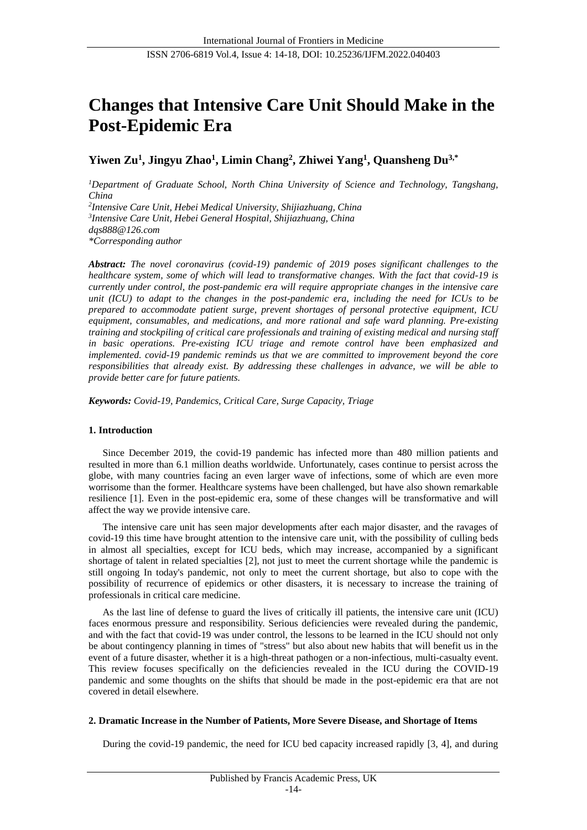# **Changes that Intensive Care Unit Should Make in the Post-Epidemic Era**

**Yiwen Zu<sup>1</sup> , Jingyu Zhao<sup>1</sup> , Limin Chang<sup>2</sup> , Zhiwei Yang<sup>1</sup> , Quansheng Du3,\***

*<sup>1</sup>Department of Graduate School, North China University of Science and Technology, Tangshang, China 2 Intensive Care Unit, Hebei Medical University, Shijiazhuang, China 3 Intensive Care Unit, Hebei General Hospital, Shijiazhuang, China dqs888@126.com*

*\*Corresponding author*

*Abstract: The novel coronavirus (covid-19) pandemic of 2019 poses significant challenges to the healthcare system, some of which will lead to transformative changes. With the fact that covid-19 is currently under control, the post-pandemic era will require appropriate changes in the intensive care unit (ICU) to adapt to the changes in the post-pandemic era, including the need for ICUs to be prepared to accommodate patient surge, prevent shortages of personal protective equipment, ICU equipment, consumables, and medications, and more rational and safe ward planning. Pre-existing training and stockpiling of critical care professionals and training of existing medical and nursing staff in basic operations. Pre-existing ICU triage and remote control have been emphasized and implemented. covid-19 pandemic reminds us that we are committed to improvement beyond the core responsibilities that already exist. By addressing these challenges in advance, we will be able to provide better care for future patients.*

*Keywords: Covid-19, Pandemics, Critical Care, Surge Capacity, Triage*

# **1. Introduction**

Since December 2019, the covid-19 pandemic has infected more than 480 million patients and resulted in more than 6.1 million deaths worldwide. Unfortunately, cases continue to persist across the globe, with many countries facing an even larger wave of infections, some of which are even more worrisome than the former. Healthcare systems have been challenged, but have also shown remarkable resilience [1]. Even in the post-epidemic era, some of these changes will be transformative and will affect the way we provide intensive care.

The intensive care unit has seen major developments after each major disaster, and the ravages of covid-19 this time have brought attention to the intensive care unit, with the possibility of culling beds in almost all specialties, except for ICU beds, which may increase, accompanied by a significant shortage of talent in related specialties [2], not just to meet the current shortage while the pandemic is still ongoing In today's pandemic, not only to meet the current shortage, but also to cope with the possibility of recurrence of epidemics or other disasters, it is necessary to increase the training of professionals in critical care medicine.

As the last line of defense to guard the lives of critically ill patients, the intensive care unit (ICU) faces enormous pressure and responsibility. Serious deficiencies were revealed during the pandemic, and with the fact that covid-19 was under control, the lessons to be learned in the ICU should not only be about contingency planning in times of "stress" but also about new habits that will benefit us in the event of a future disaster, whether it is a high-threat pathogen or a non-infectious, multi-casualty event. This review focuses specifically on the deficiencies revealed in the ICU during the COVID-19 pandemic and some thoughts on the shifts that should be made in the post-epidemic era that are not covered in detail elsewhere.

# **2. Dramatic Increase in the Number of Patients, More Severe Disease, and Shortage of Items**

During the covid-19 pandemic, the need for ICU bed capacity increased rapidly [3, 4], and during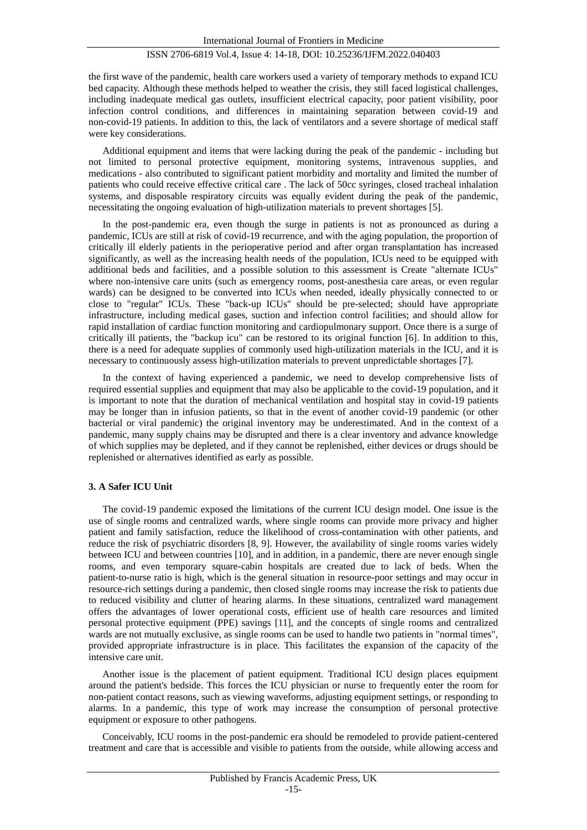the first wave of the pandemic, health care workers used a variety of temporary methods to expand ICU bed capacity. Although these methods helped to weather the crisis, they still faced logistical challenges, including inadequate medical gas outlets, insufficient electrical capacity, poor patient visibility, poor infection control conditions, and differences in maintaining separation between covid-19 and non-covid-19 patients. In addition to this, the lack of ventilators and a severe shortage of medical staff were key considerations.

Additional equipment and items that were lacking during the peak of the pandemic - including but not limited to personal protective equipment, monitoring systems, intravenous supplies, and medications - also contributed to significant patient morbidity and mortality and limited the number of patients who could receive effective critical care . The lack of 50cc syringes, closed tracheal inhalation systems, and disposable respiratory circuits was equally evident during the peak of the pandemic, necessitating the ongoing evaluation of high-utilization materials to prevent shortages [5].

In the post-pandemic era, even though the surge in patients is not as pronounced as during a pandemic, ICUs are still at risk of covid-19 recurrence, and with the aging population, the proportion of critically ill elderly patients in the perioperative period and after organ transplantation has increased significantly, as well as the increasing health needs of the population, ICUs need to be equipped with additional beds and facilities, and a possible solution to this assessment is Create "alternate ICUs" where non-intensive care units (such as emergency rooms, post-anesthesia care areas, or even regular wards) can be designed to be converted into ICUs when needed, ideally physically connected to or close to "regular" ICUs. These "back-up ICUs" should be pre-selected; should have appropriate infrastructure, including medical gases, suction and infection control facilities; and should allow for rapid installation of cardiac function monitoring and cardiopulmonary support. Once there is a surge of critically ill patients, the "backup icu" can be restored to its original function [6]. In addition to this, there is a need for adequate supplies of commonly used high-utilization materials in the ICU, and it is necessary to continuously assess high-utilization materials to prevent unpredictable shortages [7].

In the context of having experienced a pandemic, we need to develop comprehensive lists of required essential supplies and equipment that may also be applicable to the covid-19 population, and it is important to note that the duration of mechanical ventilation and hospital stay in covid-19 patients may be longer than in infusion patients, so that in the event of another covid-19 pandemic (or other bacterial or viral pandemic) the original inventory may be underestimated. And in the context of a pandemic, many supply chains may be disrupted and there is a clear inventory and advance knowledge of which supplies may be depleted, and if they cannot be replenished, either devices or drugs should be replenished or alternatives identified as early as possible.

#### **3. A Safer ICU Unit**

The covid-19 pandemic exposed the limitations of the current ICU design model. One issue is the use of single rooms and centralized wards, where single rooms can provide more privacy and higher patient and family satisfaction, reduce the likelihood of cross-contamination with other patients, and reduce the risk of psychiatric disorders [8, 9]. However, the availability of single rooms varies widely between ICU and between countries [10], and in addition, in a pandemic, there are never enough single rooms, and even temporary square-cabin hospitals are created due to lack of beds. When the patient-to-nurse ratio is high, which is the general situation in resource-poor settings and may occur in resource-rich settings during a pandemic, then closed single rooms may increase the risk to patients due to reduced visibility and clutter of hearing alarms. In these situations, centralized ward management offers the advantages of lower operational costs, efficient use of health care resources and limited personal protective equipment (PPE) savings [11], and the concepts of single rooms and centralized wards are not mutually exclusive, as single rooms can be used to handle two patients in "normal times", provided appropriate infrastructure is in place. This facilitates the expansion of the capacity of the intensive care unit.

Another issue is the placement of patient equipment. Traditional ICU design places equipment around the patient's bedside. This forces the ICU physician or nurse to frequently enter the room for non-patient contact reasons, such as viewing waveforms, adjusting equipment settings, or responding to alarms. In a pandemic, this type of work may increase the consumption of personal protective equipment or exposure to other pathogens.

Conceivably, ICU rooms in the post-pandemic era should be remodeled to provide patient-centered treatment and care that is accessible and visible to patients from the outside, while allowing access and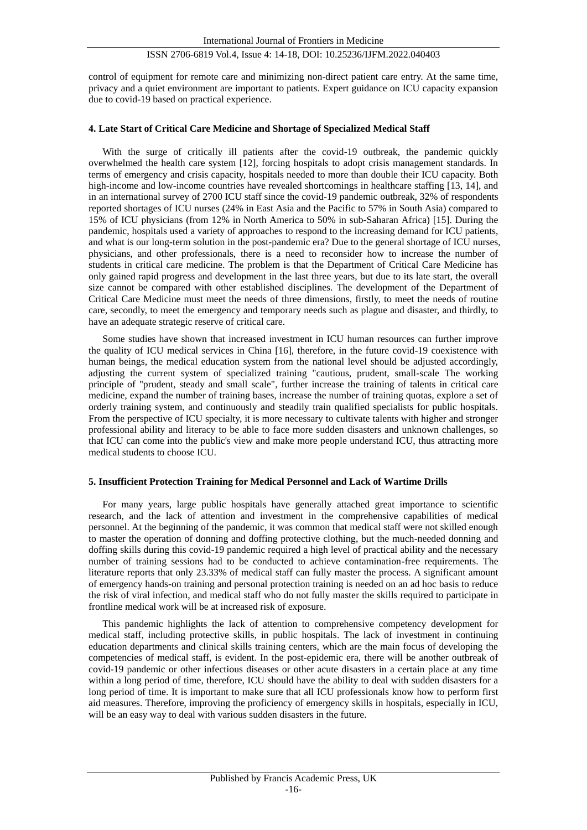control of equipment for remote care and minimizing non-direct patient care entry. At the same time, privacy and a quiet environment are important to patients. Expert guidance on ICU capacity expansion due to covid-19 based on practical experience.

#### **4. Late Start of Critical Care Medicine and Shortage of Specialized Medical Staff**

With the surge of critically ill patients after the covid-19 outbreak, the pandemic quickly overwhelmed the health care system [12], forcing hospitals to adopt crisis management standards. In terms of emergency and crisis capacity, hospitals needed to more than double their ICU capacity. Both high-income and low-income countries have revealed shortcomings in healthcare staffing [13, 14], and in an international survey of 2700 ICU staff since the covid-19 pandemic outbreak, 32% of respondents reported shortages of ICU nurses (24% in East Asia and the Pacific to 57% in South Asia) compared to 15% of ICU physicians (from 12% in North America to 50% in sub-Saharan Africa) [15]. During the pandemic, hospitals used a variety of approaches to respond to the increasing demand for ICU patients, and what is our long-term solution in the post-pandemic era? Due to the general shortage of ICU nurses, physicians, and other professionals, there is a need to reconsider how to increase the number of students in critical care medicine. The problem is that the Department of Critical Care Medicine has only gained rapid progress and development in the last three years, but due to its late start, the overall size cannot be compared with other established disciplines. The development of the Department of Critical Care Medicine must meet the needs of three dimensions, firstly, to meet the needs of routine care, secondly, to meet the emergency and temporary needs such as plague and disaster, and thirdly, to have an adequate strategic reserve of critical care.

Some studies have shown that increased investment in ICU human resources can further improve the quality of ICU medical services in China [16], therefore, in the future covid-19 coexistence with human beings, the medical education system from the national level should be adjusted accordingly, adjusting the current system of specialized training "cautious, prudent, small-scale The working principle of "prudent, steady and small scale", further increase the training of talents in critical care medicine, expand the number of training bases, increase the number of training quotas, explore a set of orderly training system, and continuously and steadily train qualified specialists for public hospitals. From the perspective of ICU specialty, it is more necessary to cultivate talents with higher and stronger professional ability and literacy to be able to face more sudden disasters and unknown challenges, so that ICU can come into the public's view and make more people understand ICU, thus attracting more medical students to choose ICU.

# **5. Insufficient Protection Training for Medical Personnel and Lack of Wartime Drills**

For many years, large public hospitals have generally attached great importance to scientific research, and the lack of attention and investment in the comprehensive capabilities of medical personnel. At the beginning of the pandemic, it was common that medical staff were not skilled enough to master the operation of donning and doffing protective clothing, but the much-needed donning and doffing skills during this covid-19 pandemic required a high level of practical ability and the necessary number of training sessions had to be conducted to achieve contamination-free requirements. The literature reports that only 23.33% of medical staff can fully master the process. A significant amount of emergency hands-on training and personal protection training is needed on an ad hoc basis to reduce the risk of viral infection, and medical staff who do not fully master the skills required to participate in frontline medical work will be at increased risk of exposure.

This pandemic highlights the lack of attention to comprehensive competency development for medical staff, including protective skills, in public hospitals. The lack of investment in continuing education departments and clinical skills training centers, which are the main focus of developing the competencies of medical staff, is evident. In the post-epidemic era, there will be another outbreak of covid-19 pandemic or other infectious diseases or other acute disasters in a certain place at any time within a long period of time, therefore, ICU should have the ability to deal with sudden disasters for a long period of time. It is important to make sure that all ICU professionals know how to perform first aid measures. Therefore, improving the proficiency of emergency skills in hospitals, especially in ICU, will be an easy way to deal with various sudden disasters in the future.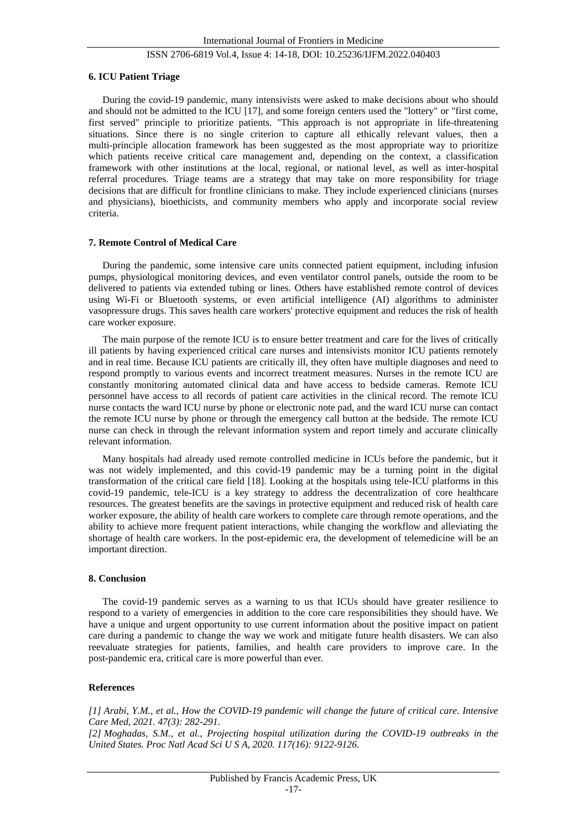#### **6. ICU Patient Triage**

During the covid-19 pandemic, many intensivists were asked to make decisions about who should and should not be admitted to the ICU [17], and some foreign centers used the "lottery" or "first come, first served" principle to prioritize patients. "This approach is not appropriate in life-threatening situations. Since there is no single criterion to capture all ethically relevant values, then a multi-principle allocation framework has been suggested as the most appropriate way to prioritize which patients receive critical care management and, depending on the context, a classification framework with other institutions at the local, regional, or national level, as well as inter-hospital referral procedures. Triage teams are a strategy that may take on more responsibility for triage decisions that are difficult for frontline clinicians to make. They include experienced clinicians (nurses and physicians), bioethicists, and community members who apply and incorporate social review criteria.

#### **7. Remote Control of Medical Care**

During the pandemic, some intensive care units connected patient equipment, including infusion pumps, physiological monitoring devices, and even ventilator control panels, outside the room to be delivered to patients via extended tubing or lines. Others have established remote control of devices using Wi-Fi or Bluetooth systems, or even artificial intelligence (AI) algorithms to administer vasopressure drugs. This saves health care workers' protective equipment and reduces the risk of health care worker exposure.

The main purpose of the remote ICU is to ensure better treatment and care for the lives of critically ill patients by having experienced critical care nurses and intensivists monitor ICU patients remotely and in real time. Because ICU patients are critically ill, they often have multiple diagnoses and need to respond promptly to various events and incorrect treatment measures. Nurses in the remote ICU are constantly monitoring automated clinical data and have access to bedside cameras. Remote ICU personnel have access to all records of patient care activities in the clinical record. The remote ICU nurse contacts the ward ICU nurse by phone or electronic note pad, and the ward ICU nurse can contact the remote ICU nurse by phone or through the emergency call button at the bedside. The remote ICU nurse can check in through the relevant information system and report timely and accurate clinically relevant information.

Many hospitals had already used remote controlled medicine in ICUs before the pandemic, but it was not widely implemented, and this covid-19 pandemic may be a turning point in the digital transformation of the critical care field [18]. Looking at the hospitals using tele-ICU platforms in this covid-19 pandemic, tele-ICU is a key strategy to address the decentralization of core healthcare resources. The greatest benefits are the savings in protective equipment and reduced risk of health care worker exposure, the ability of health care workers to complete care through remote operations, and the ability to achieve more frequent patient interactions, while changing the workflow and alleviating the shortage of health care workers. In the post-epidemic era, the development of telemedicine will be an important direction.

#### **8. Conclusion**

The covid-19 pandemic serves as a warning to us that ICUs should have greater resilience to respond to a variety of emergencies in addition to the core care responsibilities they should have. We have a unique and urgent opportunity to use current information about the positive impact on patient care during a pandemic to change the way we work and mitigate future health disasters. We can also reevaluate strategies for patients, families, and health care providers to improve care. In the post-pandemic era, critical care is more powerful than ever.

# **References**

*[1] Arabi, Y.M., et al., How the COVID-19 pandemic will change the future of critical care. Intensive Care Med, 2021. 47(3): 282-291.*

*[2] Moghadas, S.M., et al., Projecting hospital utilization during the COVID-19 outbreaks in the United States. Proc Natl Acad Sci U S A, 2020. 117(16): 9122-9126.*